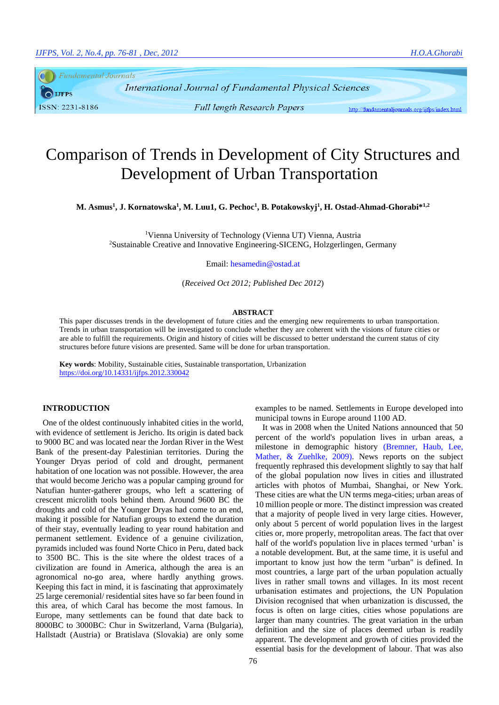Fundamental Journals  $\bigcirc$  LJFPS ISSN: 2231-8186

International Journal of Fundamental Physical Sciences **Full length Research Papers** 

http://fundamentaljournals.org/ijfps/index.html

# Comparison of Trends in Development of City Structures and Development of Urban Transportation

**M. Asmus<sup>1</sup> , J. Kornatowska<sup>1</sup> , M. Luu1, G. Pechoc<sup>1</sup> , B. Potakowskyj<sup>1</sup> , H. Ostad-Ahmad-Ghorabi\* 1,2**

<sup>1</sup>Vienna University of Technology (Vienna UT) Vienna, Austria <sup>2</sup>Sustainable Creative and Innovative Engineering-SICENG, Holzgerlingen, Germany

Email: hesamedin@ostad.at

(*Received Oct 2012; Published Dec 2012*)

#### **ABSTRACT**

This paper discusses trends in the development of future cities and the emerging new requirements to urban transportation. Trends in urban transportation will be investigated to conclude whether they are coherent with the visions of future cities or are able to fulfill the requirements. Origin and history of cities will be discussed to better understand the current status of city structures before future visions are presented. Same will be done for urban transportation.

**Key words**: Mobility, Sustainable cities, Sustainable transportation, Urbanization <https://doi.org/10.14331/ijfps.2012.330042>

# **INTRODUCTION**

One of the oldest continuously inhabited cities in the world, with evidence of settlement is Jericho. Its origin is dated back to 9000 BC and was located near the Jordan River in the West Bank of the present-day Palestinian territories. During the Younger Dryas period of cold and drought, permanent habitation of one location was not possible. However, the area that would become Jericho was a popular camping ground for Natufian hunter-gatherer groups, who left a scattering of crescent microlith tools behind them. Around 9600 BC the droughts and cold of the Younger Dryas had come to an end, making it possible for Natufian groups to extend the duration of their stay, eventually leading to year round habitation and permanent settlement. Evidence of a genuine civilization, pyramids included was found Norte Chico in Peru, dated back to 3500 BC. This is the site where the oldest traces of a civilization are found in America, although the area is an agronomical no-go area, where hardly anything grows. Keeping this fact in mind, it is fascinating that approximately 25 large ceremonial/ residential sites have so far been found in this area, of which Caral has become the most famous. In Europe, many settlements can be found that date back to 8000BC to 3000BC: Chur in Switzerland, Varna (Bulgaria), Hallstadt (Austria) or Bratislava (Slovakia) are only some examples to be named. Settlements in Europe developed into municipal towns in Europe around 1100 AD.

It was in 2008 when the United Nations announced that 50 percent of the world's population lives in urban areas, a milestone in demographic history [\(Bremner, Haub, Lee,](#page-5-0)  [Mather, & Zuehlke, 2009\)](#page-5-0). News reports on the subject frequently rephrased this development slightly to say that half of the global population now lives in cities and illustrated articles with photos of Mumbai, Shanghai, or New York. These cities are what the UN terms mega-cities; urban areas of 10 million people or more. The distinct impression was created that a majority of people lived in very large cities. However, only about 5 percent of world population lives in the largest cities or, more properly, metropolitan areas. The fact that over half of the world's population live in places termed 'urban' is a notable development. But, at the same time, it is useful and important to know just how the term "urban" is defined. In most countries, a large part of the urban population actually lives in rather small towns and villages. In its most recent urbanisation estimates and projections, the UN Population Division recognised that when urbanization is discussed, the focus is often on large cities, cities whose populations are larger than many countries. The great variation in the urban definition and the size of places deemed urban is readily apparent. The development and growth of cities provided the essential basis for the development of labour. That was also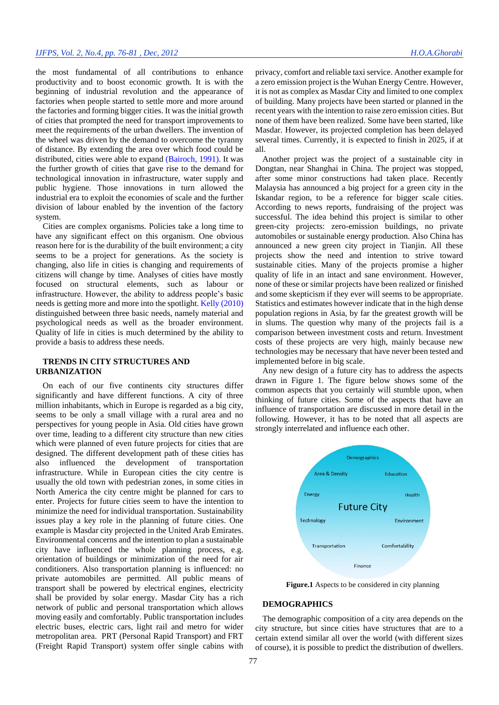the most fundamental of all contributions to enhance productivity and to boost economic growth. It is with the beginning of industrial revolution and the appearance of factories when people started to settle more and more around the factories and forming bigger cities. It was the initial growth of cities that prompted the need for transport improvements to meet the requirements of the urban dwellers. The invention of the wheel was driven by the demand to overcome the tyranny of distance. By extending the area over which food could be distributed, cities were able to expand [\(Bairoch, 1991\)](#page-5-1). It was the further growth of cities that gave rise to the demand for technological innovation in infrastructure, water supply and public hygiene. Those innovations in turn allowed the industrial era to exploit the economies of scale and the further division of labour enabled by the invention of the factory system.

Cities are complex organisms. Policies take a long time to have any significant effect on this organism. One obvious reason here for is the durability of the built environment; a city seems to be a project for generations. As the society is changing, also life in cities is changing and requirements of citizens will change by time. Analyses of cities have mostly focused on structural elements, such as labour or infrastructure. However, the ability to address people's basic needs is getting more and more into the spotlight[. Kelly \(2010\)](#page-5-2) distinguished between three basic needs, namely material and psychological needs as well as the broader environment. Quality of life in cities is much determined by the ability to provide a basis to address these needs.

# **TRENDS IN CITY STRUCTURES AND URBANIZATION**

On each of our five continents city structures differ significantly and have different functions. A city of three million inhabitants, which in Europe is regarded as a big city, seems to be only a small village with a rural area and no perspectives for young people in Asia. Old cities have grown over time, leading to a different city structure than new cities which were planned of even future projects for cities that are designed. The different development path of these cities has also influenced the development of transportation infrastructure. While in European cities the city centre is usually the old town with pedestrian zones, in some cities in North America the city centre might be planned for cars to enter. Projects for future cities seem to have the intention to minimize the need for individual transportation. Sustainability issues play a key role in the planning of future cities. One example is Masdar city projected in the United Arab Emirates. Environmental concerns and the intention to plan a sustainable city have influenced the whole planning process, e.g. orientation of buildings or minimization of the need for air conditioners. Also transportation planning is influenced: no private automobiles are permitted. All public means of transport shall be powered by electrical engines, electricity shall be provided by solar energy. Masdar City has a rich network of public and personal transportation which allows moving easily and comfortably. Public transportation includes electric buses, electric cars, light rail and metro for wider metropolitan area. PRT (Personal Rapid Transport) and FRT (Freight Rapid Transport) system offer single cabins with

privacy, comfort and reliable taxi service. Another example for a zero emission project is the Wuhan Energy Centre. However, it is not as complex as Masdar City and limited to one complex of building. Many projects have been started or planned in the recent years with the intention to raise zero emission cities. But none of them have been realized. Some have been started, like Masdar. However, its projected completion has been delayed several times. Currently, it is expected to finish in 2025, if at all.

Another project was the project of a sustainable city in Dongtan, near Shanghai in China. The project was stopped, after some minor constructions had taken place. Recently Malaysia has announced a big project for a green city in the Iskandar region, to be a reference for bigger scale cities. According to news reports, fundraising of the project was successful. The idea behind this project is similar to other green-city projects: zero-emission buildings, no private automobiles or sustainable energy production. Also China has announced a new green city project in Tianjin. All these projects show the need and intention to strive toward sustainable cities. Many of the projects promise a higher quality of life in an intact and sane environment. However, none of these or similar projects have been realized or finished and some skepticism if they ever will seems to be appropriate. Statistics and estimates however indicate that in the high dense population regions in Asia, by far the greatest growth will be in slums. The question why many of the projects fail is a comparison between investment costs and return. Investment costs of these projects are very high, mainly because new technologies may be necessary that have never been tested and implemented before in big scale.

Any new design of a future city has to address the aspects drawn in Figure 1. The figure below shows some of the common aspects that you certainly will stumble upon, when thinking of future cities. Some of the aspects that have an influence of transportation are discussed in more detail in the following. However, it has to be noted that all aspects are strongly interrelated and influence each other.



**Figure.1** Aspects to be considered in city planning

# **DEMOGRAPHICS**

The demographic composition of a city area depends on the city structure, but since cities have structures that are to a certain extend similar all over the world (with different sizes of course), it is possible to predict the distribution of dwellers.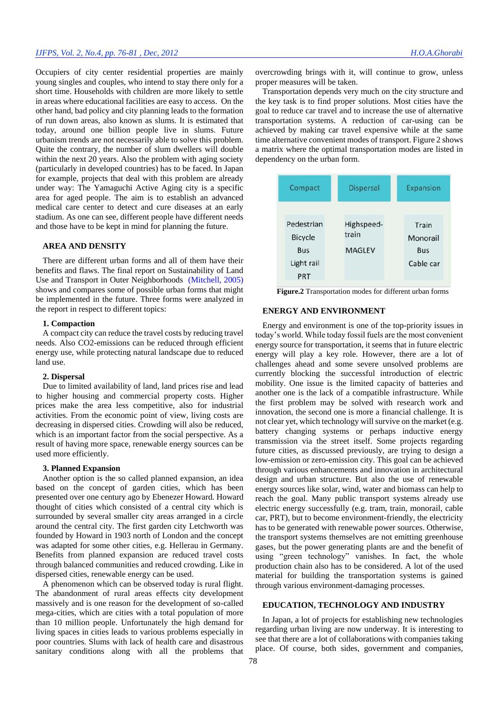# *IJFPS, Vol. 2, No.4, pp. 76-81 , Dec, 2012 H.O.A.Ghorabi*

Occupiers of city center residential properties are mainly young singles and couples, who intend to stay there only for a short time. Households with children are more likely to settle in areas where educational facilities are easy to access. On the other hand, bad policy and city planning leads to the formation of run down areas, also known as slums. It is estimated that today, around one billion people live in slums. Future urbanism trends are not necessarily able to solve this problem. Quite the contrary, the number of slum dwellers will double within the next 20 years. Also the problem with aging society (particularly in developed countries) has to be faced. In Japan for example, projects that deal with this problem are already under way: The Yamaguchi Active Aging city is a specific area for aged people. The aim is to establish an advanced medical care center to detect and cure diseases at an early stadium. As one can see, different people have different needs and those have to be kept in mind for planning the future.

#### **AREA AND DENSITY**

There are different urban forms and all of them have their benefits and flaws. The final report on Sustainability of Land Use and Transport in Outer Neighborhoods [\(Mitchell, 2005\)](#page-5-3) shows and compares some of possible urban forms that might be implemented in the future. Three forms were analyzed in the report in respect to different topics:

#### **1. Compaction**

A compact city can reduce the travel costs by reducing travel needs. Also CO2-emissions can be reduced through efficient energy use, while protecting natural landscape due to reduced land use.

#### **2. Dispersal**

Due to limited availability of land, land prices rise and lead to higher housing and commercial property costs. Higher prices make the area less competitive, also for industrial activities. From the economic point of view, living costs are decreasing in dispersed cities. Crowding will also be reduced, which is an important factor from the social perspective. As a result of having more space, renewable energy sources can be used more efficiently.

#### **3. Planned Expansion**

Another option is the so called planned expansion, an idea based on the concept of garden cities, which has been presented over one century ago by Ebenezer Howard. Howard thought of cities which consisted of a central city which is surrounded by several smaller city areas arranged in a circle around the central city. The first garden city Letchworth was founded by Howard in 1903 north of London and the concept was adapted for some other cities, e.g. Hellerau in Germany. Benefits from planned expansion are reduced travel costs through balanced communities and reduced crowding. Like in dispersed cities, renewable energy can be used.

A phenomenon which can be observed today is rural flight. The abandonment of rural areas effects city development massively and is one reason for the development of so-called mega-cities, which are cities with a total population of more than 10 million people. Unfortunately the high demand for living spaces in cities leads to various problems especially in poor countries. Slums with lack of health care and disastrous sanitary conditions along with all the problems that overcrowding brings with it, will continue to grow, unless proper measures will be taken.

Transportation depends very much on the city structure and the key task is to find proper solutions. Most cities have the goal to reduce car travel and to increase the use of alternative transportation systems. A reduction of car-using can be achieved by making car travel expensive while at the same time alternative convenient modes of transport. Figure 2 shows a matrix where the optimal transportation modes are listed in dependency on the urban form.



**Figure.2** Transportation modes for different urban forms

# **ENERGY AND ENVIRONMENT**

Energy and environment is one of the top-priority issues in today's world. While today fossil fuels are the most convenient energy source for transportation, it seems that in future electric energy will play a key role. However, there are a lot of challenges ahead and some severe unsolved problems are currently blocking the successful introduction of electric mobility. One issue is the limited capacity of batteries and another one is the lack of a compatible infrastructure. While the first problem may be solved with research work and innovation, the second one is more a financial challenge. It is not clear yet, which technology will survive on the market (e.g. battery changing systems or perhaps inductive energy transmission via the street itself. Some projects regarding future cities, as discussed previously, are trying to design a low-emission or zero-emission city. This goal can be achieved through various enhancements and innovation in architectural design and urban structure. But also the use of renewable energy sources like solar, wind, water and biomass can help to reach the goal. Many public transport systems already use electric energy successfully (e.g. tram, train, monorail, cable car, PRT), but to become environment-friendly, the electricity has to be generated with renewable power sources. Otherwise, the transport systems themselves are not emitting greenhouse gases, but the power generating plants are and the benefit of using "green technology" vanishes. In fact, the whole production chain also has to be considered. A lot of the used material for building the transportation systems is gained through various environment-damaging processes.

# **EDUCATION, TECHNOLOGY AND INDUSTRY**

In Japan, a lot of projects for establishing new technologies regarding urban living are now underway. It is interesting to see that there are a lot of collaborations with companies taking place. Of course, both sides, government and companies,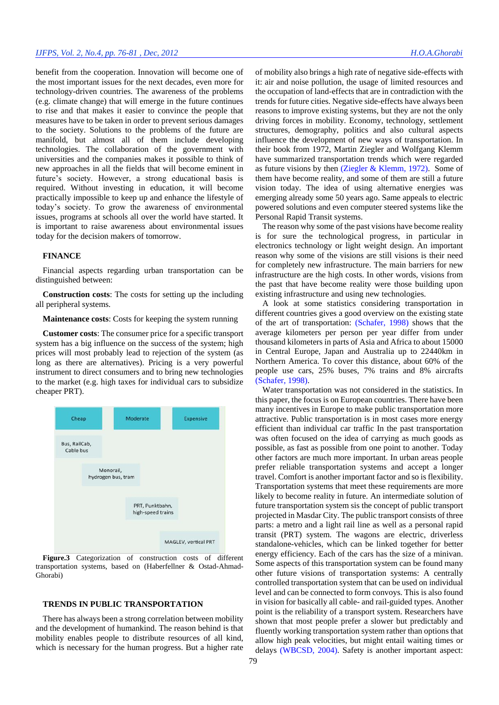benefit from the cooperation. Innovation will become one of the most important issues for the next decades, even more for technology-driven countries. The awareness of the problems (e.g. climate change) that will emerge in the future continues to rise and that makes it easier to convince the people that measures have to be taken in order to prevent serious damages to the society. Solutions to the problems of the future are manifold, but almost all of them include developing technologies. The collaboration of the government with universities and the companies makes it possible to think of new approaches in all the fields that will become eminent in future's society. However, a strong educational basis is required. Without investing in education, it will become practically impossible to keep up and enhance the lifestyle of today's society. To grow the awareness of environmental issues, programs at schools all over the world have started. It is important to raise awareness about environmental issues today for the decision makers of tomorrow.

#### **FINANCE**

Financial aspects regarding urban transportation can be distinguished between:

**Construction costs**: The costs for setting up the including all peripheral systems.

### **Maintenance costs**: Costs for keeping the system running

**Customer costs**: The consumer price for a specific transport system has a big influence on the success of the system; high prices will most probably lead to rejection of the system (as long as there are alternatives). Pricing is a very powerful instrument to direct consumers and to bring new technologies to the market (e.g. high taxes for individual cars to subsidize cheaper PRT).



**Figure.3** Categorization of construction costs of different transportation systems, based on [\(Haberfellner & Ostad-Ahmad-](#page-5-4)[Ghorabi\)](#page-5-4)

#### **TRENDS IN PUBLIC TRANSPORTATION**

There has always been a strong correlation between mobility and the development of humankind. The reason behind is that mobility enables people to distribute resources of all kind, which is necessary for the human progress. But a higher rate of mobility also brings a high rate of negative side-effects with it: air and noise pollution, the usage of limited resources and the occupation of land-effects that are in contradiction with the trends for future cities. Negative side-effects have always been reasons to improve existing systems, but they are not the only driving forces in mobility. Economy, technology, settlement structures, demography, politics and also cultural aspects influence the development of new ways of transportation. In their book from 1972, Martin Ziegler and Wolfgang Klemm have summarized transportation trends which were regarded as future visions by then [\(Ziegler & Klemm, 1972\)](#page-5-5). Some of them have become reality, and some of them are still a future vision today. The idea of using alternative energies was emerging already some 50 years ago. Same appeals to electric powered solutions and even computer steered systems like the Personal Rapid Transit systems.

The reason why some of the past visions have become reality is for sure the technological progress, in particular in electronics technology or light weight design. An important reason why some of the visions are still visions is their need for completely new infrastructure. The main barriers for new infrastructure are the high costs. In other words, visions from the past that have become reality were those building upon existing infrastructure and using new technologies.

A look at some statistics considering transportation in different countries gives a good overview on the existing state of the art of transportation: [\(Schafer, 1998\)](#page-5-6) shows that the average kilometers per person per year differ from under thousand kilometers in parts of Asia and Africa to about 15000 in Central Europe, Japan and Australia up to 22440km in Northern America. To cover this distance, about 60% of the people use cars, 25% buses, 7% trains and 8% aircrafts [\(Schafer, 1998\)](#page-5-6).

Water transportation was not considered in the statistics. In this paper, the focus is on European countries. There have been many incentives in Europe to make public transportation more attractive. Public transportation is in most cases more energy efficient than individual car traffic In the past transportation was often focused on the idea of carrying as much goods as possible, as fast as possible from one point to another. Today other factors are much more important. In urban areas people prefer reliable transportation systems and accept a longer travel. Comfort is another important factor and so is flexibility. Transportation systems that meet these requirements are more likely to become reality in future. An intermediate solution of future transportation system sis the concept of public transport projected in Masdar City. The public transport consists of three parts: a metro and a light rail line as well as a personal rapid transit (PRT) system. The wagons are electric, driverless standalone-vehicles, which can be linked together for better energy efficiency. Each of the cars has the size of a minivan. Some aspects of this transportation system can be found many other future visions of transportation systems: A centrally controlled transportation system that can be used on individual level and can be connected to form convoys. This is also found in vision for basically all cable- and rail-guided types. Another point is the reliability of a transport system. Researchers have shown that most people prefer a slower but predictably and fluently working transportation system rather than options that allow high peak velocities, but might entail waiting times or delays [\(WBCSD, 2004\)](#page-5-7). Safety is another important aspect: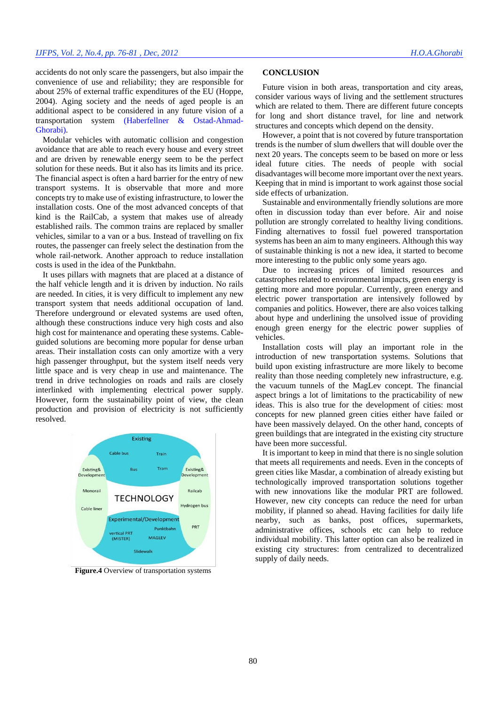accidents do not only scare the passengers, but also impair the convenience of use and reliability; they are responsible for about 25% of external traffic expenditures of the EU (Hoppe, 2004). Aging society and the needs of aged people is an additional aspect to be considered in any future vision of a transportation system [\(Haberfellner & Ostad-Ahmad-](#page-5-4)[Ghorabi\)](#page-5-4).

Modular vehicles with automatic collision and congestion avoidance that are able to reach every house and every street and are driven by renewable energy seem to be the perfect solution for these needs. But it also has its limits and its price. The financial aspect is often a hard barrier for the entry of new transport systems. It is observable that more and more concepts try to make use of existing infrastructure, to lower the installation costs. One of the most advanced concepts of that kind is the RailCab, a system that makes use of already established rails. The common trains are replaced by smaller vehicles, similar to a van or a bus. Instead of travelling on fix routes, the passenger can freely select the destination from the whole rail-network. Another approach to reduce installation costs is used in the idea of the Punktbahn.

It uses pillars with magnets that are placed at a distance of the half vehicle length and it is driven by induction. No rails are needed. In cities, it is very difficult to implement any new transport system that needs additional occupation of land. Therefore underground or elevated systems are used often, although these constructions induce very high costs and also high cost for maintenance and operating these systems. Cableguided solutions are becoming more popular for dense urban areas. Their installation costs can only amortize with a very high passenger throughput, but the system itself needs very little space and is very cheap in use and maintenance. The trend in drive technologies on roads and rails are closely interlinked with implementing electrical power supply. However, form the sustainability point of view, the clean production and provision of electricity is not sufficiently resolved.



**Figure.4** Overview of transportation systems

#### **CONCLUSION**

Future vision in both areas, transportation and city areas, consider various ways of living and the settlement structures which are related to them. There are different future concepts for long and short distance travel, for line and network structures and concepts which depend on the density.

However, a point that is not covered by future transportation trends is the number of slum dwellers that will double over the next 20 years. The concepts seem to be based on more or less ideal future cities. The needs of people with social disadvantages will become more important over the next years. Keeping that in mind is important to work against those social side effects of urbanization.

Sustainable and environmentally friendly solutions are more often in discussion today than ever before. Air and noise pollution are strongly correlated to healthy living conditions. Finding alternatives to fossil fuel powered transportation systems has been an aim to many engineers. Although this way of sustainable thinking is not a new idea, it started to become more interesting to the public only some years ago.

Due to increasing prices of limited resources and catastrophes related to environmental impacts, green energy is getting more and more popular. Currently, green energy and electric power transportation are intensively followed by companies and politics. However, there are also voices talking about hype and underlining the unsolved issue of providing enough green energy for the electric power supplies of vehicles.

Installation costs will play an important role in the introduction of new transportation systems. Solutions that build upon existing infrastructure are more likely to become reality than those needing completely new infrastructure, e.g. the vacuum tunnels of the MagLev concept. The financial aspect brings a lot of limitations to the practicability of new ideas. This is also true for the development of cities: most concepts for new planned green cities either have failed or have been massively delayed. On the other hand, concepts of green buildings that are integrated in the existing city structure have been more successful.

It is important to keep in mind that there is no single solution that meets all requirements and needs. Even in the concepts of green cities like Masdar, a combination of already existing but technologically improved transportation solutions together with new innovations like the modular PRT are followed. However, new city concepts can reduce the need for urban mobility, if planned so ahead. Having facilities for daily life nearby, such as banks, post offices, supermarkets, administrative offices, schools etc can help to reduce individual mobility. This latter option can also be realized in existing city structures: from centralized to decentralized supply of daily needs.